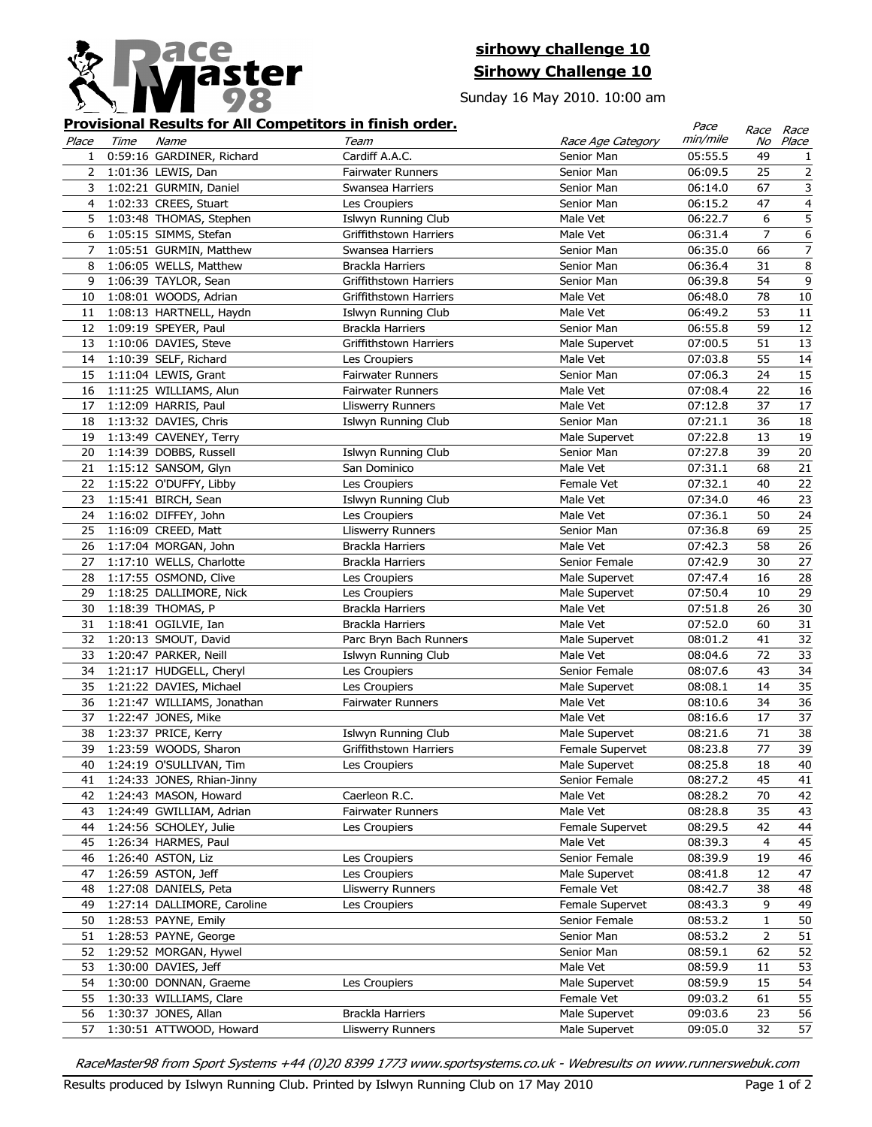

## **sirhowy challenge 10 Sirhowy Challenge 10**

Sunday 16 May 2010. 10:00 am

## **Provisional Results for All Competitors in finish order.**

|              |      |                                                   | <b>Provisional Results for All Competitors in finish order.</b> |                                | Pace               |                | Race Race               |
|--------------|------|---------------------------------------------------|-----------------------------------------------------------------|--------------------------------|--------------------|----------------|-------------------------|
| Place        | Time | Name                                              | Team                                                            | Race Age Category              | min/mile           | No             | Place                   |
| $\mathbf{1}$ |      | 0:59:16 GARDINER, Richard                         | Cardiff A.A.C.                                                  | Senior Man                     | 05:55.5            | 49             | $\mathbf{1}$            |
| 2            |      | 1:01:36 LEWIS, Dan                                | <b>Fairwater Runners</b>                                        | Senior Man                     | 06:09.5            | 25             | $\overline{2}$          |
| 3            |      | 1:02:21 GURMIN, Daniel                            | Swansea Harriers                                                | Senior Man                     | 06:14.0            | 67             | 3                       |
| 4            |      | 1:02:33 CREES, Stuart                             | Les Croupiers                                                   | Senior Man                     | 06:15.2            | 47             | $\overline{\mathbf{4}}$ |
| 5            |      | 1:03:48 THOMAS, Stephen                           | Islwyn Running Club                                             | Male Vet                       | 06:22.7            | 6              | 5                       |
| 6            |      | 1:05:15 SIMMS, Stefan                             | Griffithstown Harriers                                          | Male Vet                       | 06:31.4            | $\overline{7}$ | 6                       |
| 7            |      | 1:05:51 GURMIN, Matthew                           | Swansea Harriers                                                | Senior Man                     | 06:35.0            | 66             | $\overline{7}$          |
| 8            |      | 1:06:05 WELLS, Matthew                            | Brackla Harriers                                                | Senior Man                     | 06:36.4            | 31             | $\bf 8$                 |
| 9            |      | 1:06:39 TAYLOR, Sean                              | Griffithstown Harriers                                          | Senior Man                     | 06:39.8            | 54             | $9\,$                   |
| 10           |      | 1:08:01 WOODS, Adrian                             | Griffithstown Harriers                                          | Male Vet                       | 06:48.0            | 78             | $10\,$                  |
| 11           |      | 1:08:13 HARTNELL, Haydn                           | Islwyn Running Club                                             | Male Vet                       | 06:49.2            | 53             | 11                      |
| 12           |      | 1:09:19 SPEYER, Paul                              | Brackla Harriers                                                | Senior Man                     | 06:55.8            | 59             | 12                      |
| 13           |      | 1:10:06 DAVIES, Steve                             | Griffithstown Harriers                                          | Male Supervet                  | 07:00.5            | 51             | 13                      |
| 14           |      | 1:10:39 SELF, Richard                             | Les Croupiers                                                   | Male Vet                       | 07:03.8            | 55             | 14                      |
| 15           |      | 1:11:04 LEWIS, Grant                              | <b>Fairwater Runners</b>                                        | Senior Man                     | 07:06.3            | 24             | 15                      |
| 16           |      | 1:11:25 WILLIAMS, Alun                            | <b>Fairwater Runners</b>                                        | Male Vet                       | 07:08.4            | 22             | 16                      |
| 17           |      | 1:12:09 HARRIS, Paul                              | <b>Lliswerry Runners</b>                                        | Male Vet                       | 07:12.8            | 37             | 17                      |
| 18           |      | 1:13:32 DAVIES, Chris                             | <b>Islwyn Running Club</b>                                      | Senior Man                     | 07:21.1            | 36             | 18                      |
| 19           |      | 1:13:49 CAVENEY, Terry                            |                                                                 | Male Supervet                  | 07:22.8            | 13             | 19                      |
| 20           |      | 1:14:39 DOBBS, Russell                            | <b>Islwyn Running Club</b>                                      | Senior Man                     | 07:27.8            | 39             | $20\,$                  |
| 21           |      | 1:15:12 SANSOM, Glyn                              | San Dominico                                                    | Male Vet                       | 07:31.1            | 68             | 21                      |
| 22           |      | 1:15:22 O'DUFFY, Libby                            | Les Croupiers                                                   | Female Vet                     | 07:32.1            | 40             | 22                      |
| 23           |      | 1:15:41 BIRCH, Sean                               | Islwyn Running Club                                             | Male Vet                       | 07:34.0            | 46             | 23                      |
| 24           |      | 1:16:02 DIFFEY, John                              | Les Croupiers                                                   | Male Vet                       | 07:36.1            | 50             | 24                      |
| 25           |      | 1:16:09 CREED, Matt                               | <b>Lliswerry Runners</b>                                        | Senior Man                     | 07:36.8            | 69             | 25                      |
| 26           |      | 1:17:04 MORGAN, John                              | Brackla Harriers                                                | Male Vet                       | 07:42.3            | 58             | 26                      |
| 27           |      | 1:17:10 WELLS, Charlotte                          | Brackla Harriers                                                | Senior Female                  | 07:42.9            | 30             | 27                      |
| 28           |      | 1:17:55 OSMOND, Clive                             | Les Croupiers                                                   | Male Supervet                  | 07:47.4            | 16             | 28                      |
| 29           |      | 1:18:25 DALLIMORE, Nick                           | Les Croupiers                                                   | Male Supervet                  | 07:50.4            | 10             | 29                      |
| 30           |      | 1:18:39 THOMAS, P                                 | Brackla Harriers                                                | Male Vet                       | 07:51.8            | 26             | 30                      |
| 31           |      | 1:18:41 OGILVIE, Ian                              | Brackla Harriers                                                | Male Vet                       | 07:52.0            | 60             | 31                      |
| 32           |      | 1:20:13 SMOUT, David                              | Parc Bryn Bach Runners                                          | Male Supervet                  | 08:01.2            | 41             | 32                      |
| 33           |      | 1:20:47 PARKER, Neill                             | Islwyn Running Club                                             | Male Vet                       | 08:04.6            | 72             | 33                      |
| 34           |      | 1:21:17 HUDGELL, Cheryl                           | Les Croupiers                                                   | Senior Female                  | 08:07.6            | 43             | 34                      |
| 35           |      | 1:21:22 DAVIES, Michael                           | Les Croupiers                                                   | Male Supervet                  | 08:08.1            | 14             | 35                      |
| 36           |      | 1:21:47 WILLIAMS, Jonathan                        | <b>Fairwater Runners</b>                                        | Male Vet                       | 08:10.6            | 34             | 36                      |
| 37           |      | 1:22:47 JONES, Mike                               |                                                                 | Male Vet                       | 08:16.6            | 17             | 37                      |
| 38           |      | 1:23:37 PRICE, Kerry                              | Islwyn Running Club                                             | Male Supervet                  | 08:21.6            | 71             | 38                      |
| 39           |      | 1:23:59 WOODS, Sharon                             | Griffithstown Harriers                                          | Female Supervet                | 08:23.8            | 77             | 39                      |
| 40           |      | 1:24:19 O'SULLIVAN, Tim                           | Les Croupiers                                                   | Male Supervet                  | 08:25.8            | 18             | 40                      |
| 41           |      | 1:24:33 JONES, Rhian-Jinny                        |                                                                 | Senior Female                  | 08:27.2            | 45             | 41                      |
| 42           |      | 1:24:43 MASON, Howard                             | Caerleon R.C.                                                   | Male Vet                       | 08:28.2            | 70             | 42                      |
| 43           |      | 1:24:49 GWILLIAM, Adrian                          | <b>Fairwater Runners</b>                                        | Male Vet                       | 08:28.8            | 35             | 43                      |
|              |      |                                                   | Les Croupiers                                                   | Female Supervet                |                    | 42             | 44                      |
| 44<br>45     |      | 1:24:56 SCHOLEY, Julie<br>1:26:34 HARMES, Paul    |                                                                 | Male Vet                       | 08:29.5<br>08:39.3 | 4              | 45                      |
|              |      | 1:26:40 ASTON, Liz                                | Les Croupiers                                                   | Senior Female                  | 08:39.9            | 19             | 46                      |
| 46           |      | 1:26:59 ASTON, Jeff                               | Les Croupiers                                                   | Male Supervet                  | 08:41.8            | 12             |                         |
| 47<br>48     |      | 1:27:08 DANIELS, Peta                             | <b>Lliswerry Runners</b>                                        | Female Vet                     | 08:42.7            | 38             | 47<br>48                |
|              |      | 1:27:14 DALLIMORE, Caroline                       |                                                                 | Female Supervet                |                    | 9              |                         |
| 49<br>50     |      | 1:28:53 PAYNE, Emily                              | Les Croupiers                                                   | Senior Female                  | 08:43.3<br>08:53.2 | $\mathbf{1}$   | 49<br>50                |
|              |      |                                                   |                                                                 |                                |                    |                |                         |
| 51<br>52     |      | 1:28:53 PAYNE, George<br>1:29:52 MORGAN, Hywel    |                                                                 | Senior Man<br>Senior Man       | 08:53.2<br>08:59.1 | 2<br>62        | 51                      |
| 53           |      |                                                   |                                                                 | Male Vet                       | 08:59.9            | 11             | 52                      |
|              |      | 1:30:00 DAVIES, Jeff                              |                                                                 | Male Supervet                  | 08:59.9            | 15             | 53                      |
| 54           |      | 1:30:00 DONNAN, Graeme<br>1:30:33 WILLIAMS, Clare | Les Croupiers                                                   | Female Vet                     |                    |                | 54                      |
| 55<br>56     |      |                                                   | Brackla Harriers                                                |                                | 09:03.2<br>09:03.6 | 61<br>23       | 55<br>56                |
|              |      | 1:30:37 JONES, Allan<br>1:30:51 ATTWOOD, Howard   | <b>Lliswerry Runners</b>                                        | Male Supervet<br>Male Supervet | 09:05.0            | 32             | 57                      |
| 57           |      |                                                   |                                                                 |                                |                    |                |                         |

RaceMaster98 from Sport Systems +44 (0)20 8399 1773 www.sportsystems.co.uk - Webresults on www.runnerswebuk.com